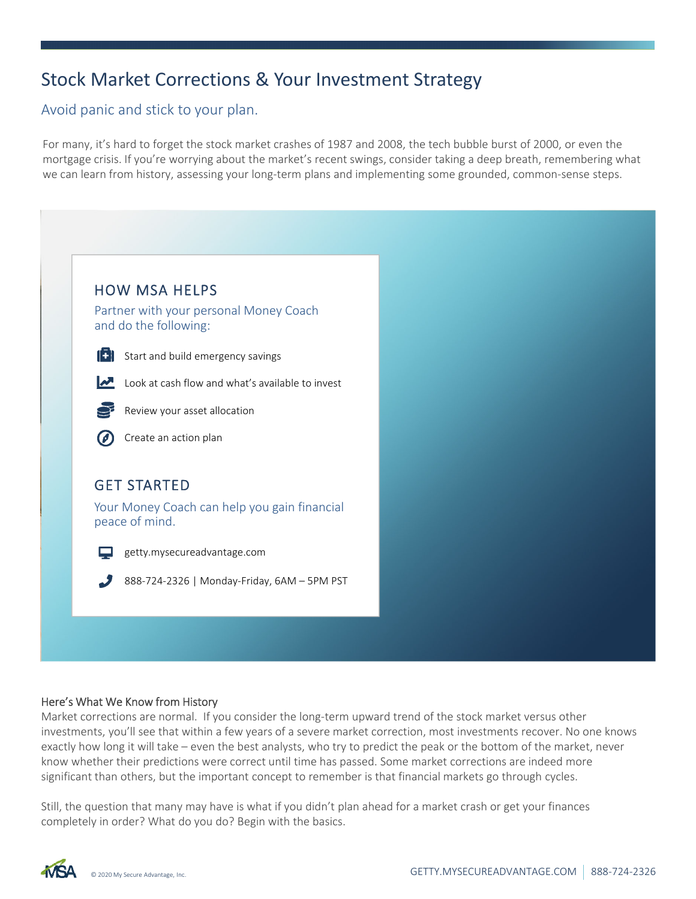# Stock Market Corrections & Your Investment Strategy

Avoid panic and stick to your plan.

For many, it's hard to forget the stock market crashes of 1987 and 2008, the tech bubble burst of 2000, or even the mortgage crisis. If you're worrying about the market's recent swings, consider taking a deep breath, remembering what we can learn from history, assessing your long-term plans and implementing some grounded, common-sense steps.



# Here's What We Know from History

Market corrections are normal. If you consider the long‐term upward trend of the stock market versus other investments, you'll see that within a few years of a severe market correction, most investments recover. No one knows exactly how long it will take – even the best analysts, who try to predict the peak or the bottom of the market, never know whether their predictions were correct until time has passed. Some market corrections are indeed more significant than others, but the important concept to remember is that financial markets go through cycles.

Still, the question that many may have is what if you didn't plan ahead for a market crash or get your finances completely in order? What do you do? Begin with the basics.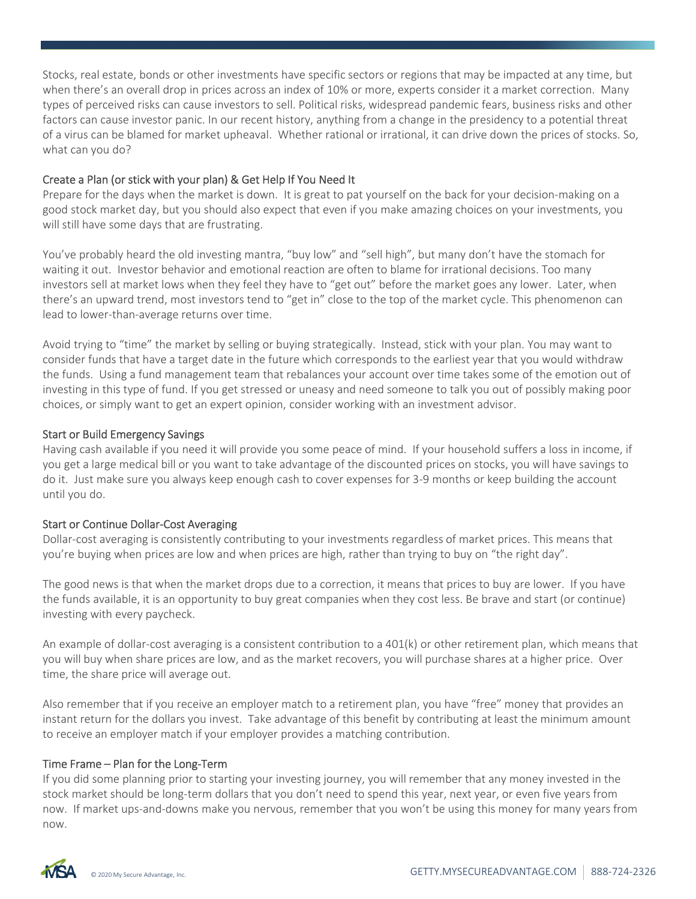Stocks, real estate, bonds or other investments have specific sectors or regions that may be impacted at any time, but when there's an overall drop in prices across an index of 10% or more, experts consider it a market correction. Many types of perceived risks can cause investors to sell. Political risks, widespread pandemic fears, business risks and other factors can cause investor panic. In our recent history, anything from a change in the presidency to a potential threat of a virus can be blamed for market upheaval. Whether rational or irrational, it can drive down the prices of stocks. So, what can you do?

#### Create a Plan (or stick with your plan) & Get Help If You Need It

Prepare for the days when the market is down. It is great to pat yourself on the back for your decision‐making on a good stock market day, but you should also expect that even if you make amazing choices on your investments, you will still have some days that are frustrating.

You've probably heard the old investing mantra, "buy low" and "sell high", but many don't have the stomach for waiting it out. Investor behavior and emotional reaction are often to blame for irrational decisions. Too many investors sell at market lows when they feel they have to "get out" before the market goes any lower. Later, when there's an upward trend, most investors tend to "get in" close to the top of the market cycle. This phenomenon can lead to lower‐than‐average returns over time.

Avoid trying to "time" the market by selling or buying strategically. Instead, stick with your plan. You may want to consider funds that have a target date in the future which corresponds to the earliest year that you would withdraw the funds. Using a fund management team that rebalances your account over time takes some of the emotion out of investing in this type of fund. If you get stressed or uneasy and need someone to talk you out of possibly making poor choices, or simply want to get an expert opinion, consider working with an investment advisor.

# Start or Build Emergency Savings

Having cash available if you need it will provide you some peace of mind. If your household suffers a loss in income, if you get a large medical bill or you want to take advantage of the discounted prices on stocks, you will have savings to do it. Just make sure you always keep enough cash to cover expenses for 3‐9 months or keep building the account until you do.

#### Start or Continue Dollar‐Cost Averaging

Dollar‐cost averaging is consistently contributing to your investments regardless of market prices. This means that you're buying when prices are low and when prices are high, rather than trying to buy on "the right day".

The good news is that when the market drops due to a correction, it means that prices to buy are lower. If you have the funds available, it is an opportunity to buy great companies when they cost less. Be brave and start (or continue) investing with every paycheck.

An example of dollar-cost averaging is a consistent contribution to a 401(k) or other retirement plan, which means that you will buy when share prices are low, and as the market recovers, you will purchase shares at a higher price. Over time, the share price will average out.

Also remember that if you receive an employer match to a retirement plan, you have "free" money that provides an instant return for the dollars you invest. Take advantage of this benefit by contributing at least the minimum amount to receive an employer match if your employer provides a matching contribution.

#### Time Frame – Plan for the Long‐Term

If you did some planning prior to starting your investing journey, you will remember that any money invested in the stock market should be long-term dollars that you don't need to spend this year, next year, or even five years from now. If market ups‐and‐downs make you nervous, remember that you won't be using this money for many years from now.